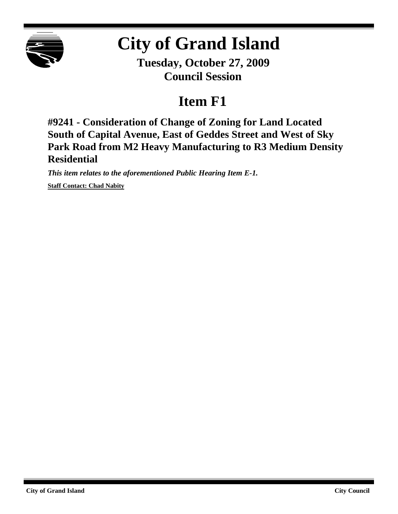

## **City of Grand Island**

**Tuesday, October 27, 2009 Council Session**

## **Item F1**

**#9241 - Consideration of Change of Zoning for Land Located South of Capital Avenue, East of Geddes Street and West of Sky Park Road from M2 Heavy Manufacturing to R3 Medium Density Residential**

*This item relates to the aforementioned Public Hearing Item E-1.* **Staff Contact: Chad Nabity**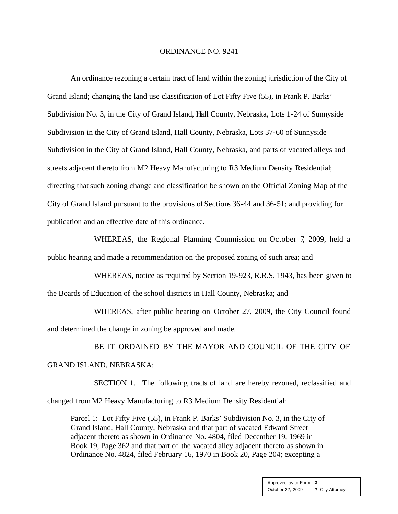## ORDINANCE NO. 9241

An ordinance rezoning a certain tract of land within the zoning jurisdiction of the City of Grand Island; changing the land use classification of Lot Fifty Five (55), in Frank P. Barks' Subdivision No. 3, in the City of Grand Island, Hall County, Nebraska, Lots 1-24 of Sunnyside Subdivision in the City of Grand Island, Hall County, Nebraska, Lots 37-60 of Sunnyside Subdivision in the City of Grand Island, Hall County, Nebraska, and parts of vacated alleys and streets adjacent thereto from M2 Heavy Manufacturing to R3 Medium Density Residential; directing that such zoning change and classification be shown on the Official Zoning Map of the City of Grand Island pursuant to the provisions of Sections 36-44 and 36-51; and providing for publication and an effective date of this ordinance.

WHEREAS, the Regional Planning Commission on October 7, 2009, held a public hearing and made a recommendation on the proposed zoning of such area; and

WHEREAS, notice as required by Section 19-923, R.R.S. 1943, has been given to the Boards of Education of the school districts in Hall County, Nebraska; and

WHEREAS, after public hearing on October 27, 2009, the City Council found and determined the change in zoning be approved and made.

BE IT ORDAINED BY THE MAYOR AND COUNCIL OF THE CITY OF GRAND ISLAND, NEBRASKA:

SECTION 1. The following tracts of land are hereby rezoned, reclassified and changed from M2 Heavy Manufacturing to R3 Medium Density Residential:

Parcel 1: Lot Fifty Five (55), in Frank P. Barks' Subdivision No. 3, in the City of Grand Island, Hall County, Nebraska and that part of vacated Edward Street adjacent thereto as shown in Ordinance No. 4804, filed December 19, 1969 in Book 19, Page 362 and that part of the vacated alley adjacent thereto as shown in Ordinance No. 4824, filed February 16, 1970 in Book 20, Page 204; excepting a